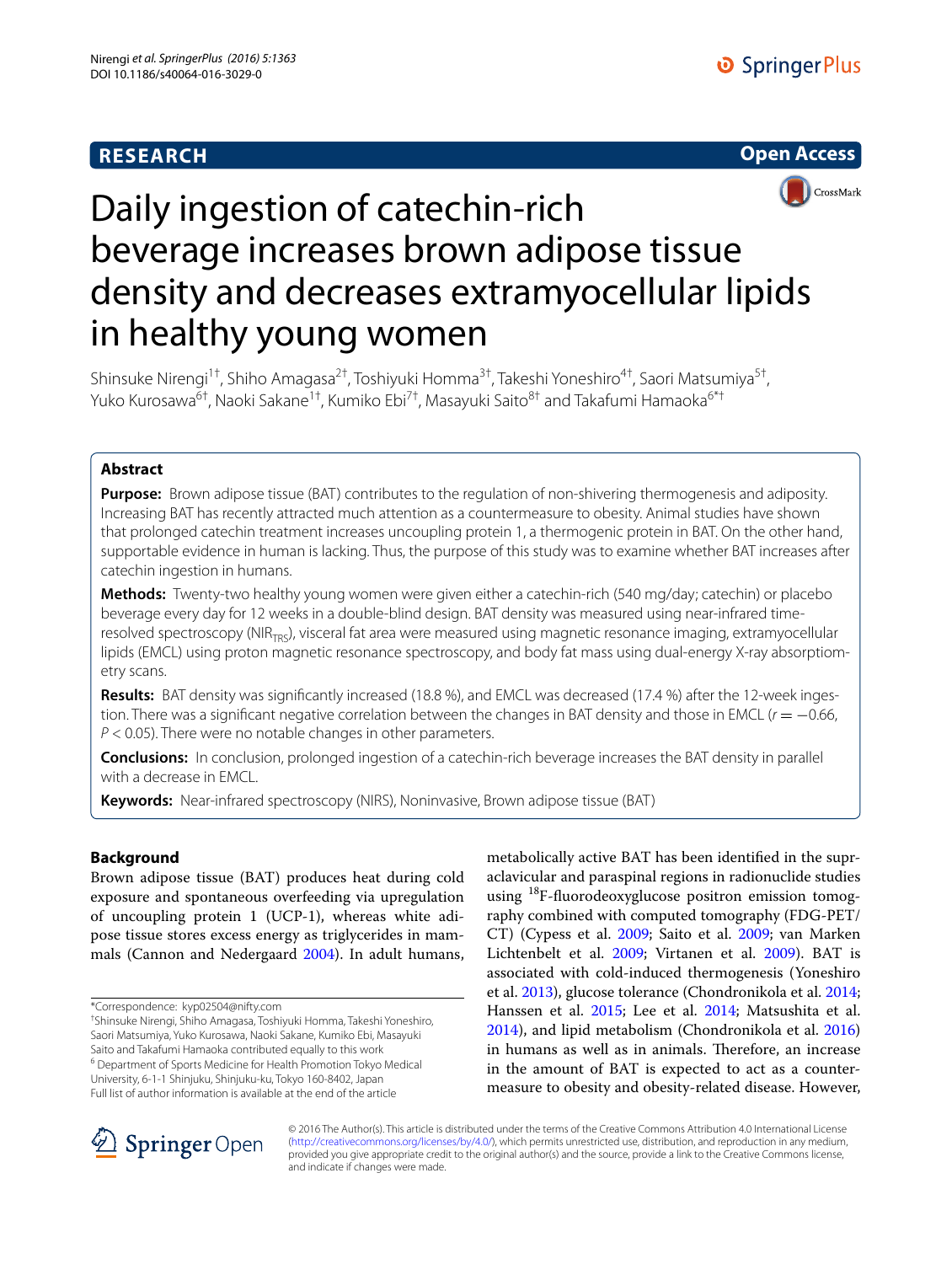# **RESEARCH**





# Daily ingestion of catechin-rich beverage increases brown adipose tissue density and decreases extramyocellular lipids in healthy young women

Shinsuke Nirengi<sup>1†</sup>, Shiho Amagasa<sup>2†</sup>, Toshiyuki Homma<sup>3†</sup>, Takeshi Yoneshiro<sup>4†</sup>, Saori Matsumiya<sup>5†</sup>, Yuko Kurosawa<sup>6†</sup>, Naoki Sakane<sup>1†</sup>, Kumiko Ebi<sup>7†</sup>, Masayuki Saito<sup>8†</sup> and Takafumi Hamaoka<sup>6\*†</sup>

# **Abstract**

**Purpose:** Brown adipose tissue (BAT) contributes to the regulation of non-shivering thermogenesis and adiposity. Increasing BAT has recently attracted much attention as a countermeasure to obesity. Animal studies have shown that prolonged catechin treatment increases uncoupling protein 1, a thermogenic protein in BAT. On the other hand, supportable evidence in human is lacking. Thus, the purpose of this study was to examine whether BAT increases after catechin ingestion in humans.

**Methods:** Twenty-two healthy young women were given either a catechin-rich (540 mg/day; catechin) or placebo beverage every day for 12 weeks in a double-blind design. BAT density was measured using near-infrared timeresolved spectroscopy (NIR<sub>TRS</sub>), visceral fat area were measured using magnetic resonance imaging, extramyocellular lipids (EMCL) using proton magnetic resonance spectroscopy, and body fat mass using dual-energy X-ray absorptiometry scans.

**Results:** BAT density was significantly increased (18.8 %), and EMCL was decreased (17.4 %) after the 12-week ingestion. There was a significant negative correlation between the changes in BAT density and those in EMCL (*r* = −0.66, *P* < 0.05). There were no notable changes in other parameters.

**Conclusions:** In conclusion, prolonged ingestion of a catechin-rich beverage increases the BAT density in parallel with a decrease in EMCL.

**Keywords:** Near-infrared spectroscopy (NIRS), Noninvasive, Brown adipose tissue (BAT)

# **Background**

Brown adipose tissue (BAT) produces heat during cold exposure and spontaneous overfeeding via upregulation of uncoupling protein 1 (UCP-1), whereas white adipose tissue stores excess energy as triglycerides in mammals (Cannon and Nedergaard [2004](#page-7-0)). In adult humans,

† Shinsuke Nirengi, Shiho Amagasa, Toshiyuki Homma, Takeshi Yoneshiro, Saori Matsumiya, Yuko Kurosawa, Naoki Sakane, Kumiko Ebi, Masayuki Saito and Takafumi Hamaoka contributed equally to this work <sup>6</sup> Department of Sports Medicine for Health Promotion Tokyo Medical

University, 6-1-1 Shinjuku, Shinjuku-ku, Tokyo 160-8402, Japan Full list of author information is available at the end of the article

metabolically active BAT has been identified in the supraclavicular and paraspinal regions in radionuclide studies using <sup>18</sup>F-fluorodeoxyglucose positron emission tomography combined with computed tomography (FDG-PET/ CT) (Cypess et al. [2009](#page-7-1); Saito et al. [2009;](#page-8-0) van Marken Lichtenbelt et al. [2009;](#page-8-1) Virtanen et al. [2009\)](#page-8-2). BAT is associated with cold-induced thermogenesis (Yoneshiro et al. [2013](#page-8-3)), glucose tolerance (Chondronikola et al. [2014](#page-7-2); Hanssen et al. [2015;](#page-7-3) Lee et al. [2014;](#page-7-4) Matsushita et al. [2014](#page-8-4)), and lipid metabolism (Chondronikola et al. [2016](#page-7-5)) in humans as well as in animals. Therefore, an increase in the amount of BAT is expected to act as a countermeasure to obesity and obesity-related disease. However,



© 2016 The Author(s). This article is distributed under the terms of the Creative Commons Attribution 4.0 International License [\(http://creativecommons.org/licenses/by/4.0/\)](http://creativecommons.org/licenses/by/4.0/), which permits unrestricted use, distribution, and reproduction in any medium, provided you give appropriate credit to the original author(s) and the source, provide a link to the Creative Commons license, and indicate if changes were made.

<sup>\*</sup>Correspondence: kyp02504@nifty.com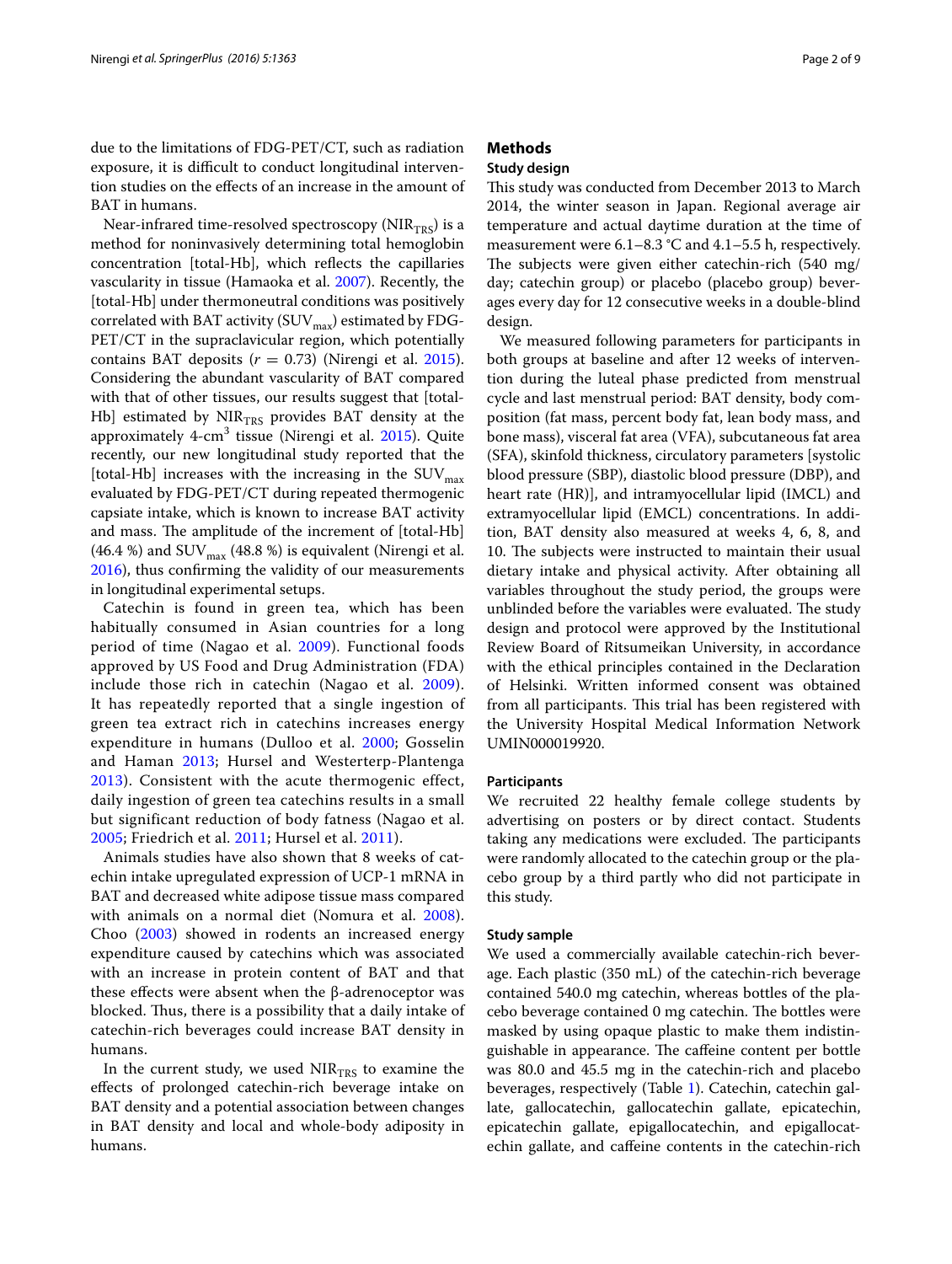due to the limitations of FDG-PET/CT, such as radiation exposure, it is difficult to conduct longitudinal intervention studies on the effects of an increase in the amount of BAT in humans.

Near-infrared time-resolved spectroscopy ( $NIR<sub>TRS</sub>$ ) is a method for noninvasively determining total hemoglobin concentration [total-Hb], which reflects the capillaries vascularity in tissue (Hamaoka et al. [2007](#page-7-6)). Recently, the [total-Hb] under thermoneutral conditions was positively correlated with BAT activity (SUV $_{\text{max}}$ ) estimated by FDG-PET/CT in the supraclavicular region, which potentially contains BAT deposits  $(r = 0.73)$  (Nirengi et al. [2015](#page-8-5)). Considering the abundant vascularity of BAT compared with that of other tissues, our results suggest that [total-Hb] estimated by  $NIR<sub>TRS</sub>$  provides BAT density at the approximately 4-cm<sup>3</sup> tissue (Nirengi et al. [2015\)](#page-8-5). Quite recently, our new longitudinal study reported that the [total-Hb] increases with the increasing in the  $\text{SUV}_{\text{max}}$ evaluated by FDG-PET/CT during repeated thermogenic capsiate intake, which is known to increase BAT activity and mass. The amplitude of the increment of [total-Hb] (46.4 %) and  $\text{SUV}_{\text{max}}$  (48.8 %) is equivalent (Nirengi et al. [2016](#page-8-6)), thus confirming the validity of our measurements in longitudinal experimental setups.

Catechin is found in green tea, which has been habitually consumed in Asian countries for a long period of time (Nagao et al. [2009](#page-8-7)). Functional foods approved by US Food and Drug Administration (FDA) include those rich in catechin (Nagao et al. [2009\)](#page-8-7). It has repeatedly reported that a single ingestion of green tea extract rich in catechins increases energy expenditure in humans (Dulloo et al. [2000](#page-7-7); Gosselin and Haman [2013;](#page-7-8) Hursel and Westerterp-Plantenga [2013](#page-7-9)). Consistent with the acute thermogenic effect, daily ingestion of green tea catechins results in a small but significant reduction of body fatness (Nagao et al. [2005](#page-8-8); Friedrich et al. [2011](#page-7-10); Hursel et al. [2011\)](#page-7-11).

Animals studies have also shown that 8 weeks of catechin intake upregulated expression of UCP-1 mRNA in BAT and decreased white adipose tissue mass compared with animals on a normal diet (Nomura et al. [2008](#page-8-9)). Choo ([2003\)](#page-7-12) showed in rodents an increased energy expenditure caused by catechins which was associated with an increase in protein content of BAT and that these effects were absent when the  $β$ -adrenoceptor was blocked. Thus, there is a possibility that a daily intake of catechin-rich beverages could increase BAT density in humans.

In the current study, we used  $NIR<sub>TRS</sub>$  to examine the effects of prolonged catechin-rich beverage intake on BAT density and a potential association between changes in BAT density and local and whole-body adiposity in humans.

# **Methods**

## **Study design**

This study was conducted from December 2013 to March 2014, the winter season in Japan. Regional average air temperature and actual daytime duration at the time of measurement were 6.1–8.3 °C and 4.1–5.5 h, respectively. The subjects were given either catechin-rich (540 mg/ day; catechin group) or placebo (placebo group) beverages every day for 12 consecutive weeks in a double-blind design.

We measured following parameters for participants in both groups at baseline and after 12 weeks of intervention during the luteal phase predicted from menstrual cycle and last menstrual period: BAT density, body composition (fat mass, percent body fat, lean body mass, and bone mass), visceral fat area (VFA), subcutaneous fat area (SFA), skinfold thickness, circulatory parameters [systolic blood pressure (SBP), diastolic blood pressure (DBP), and heart rate (HR)], and intramyocellular lipid (IMCL) and extramyocellular lipid (EMCL) concentrations. In addition, BAT density also measured at weeks 4, 6, 8, and 10. The subjects were instructed to maintain their usual dietary intake and physical activity. After obtaining all variables throughout the study period, the groups were unblinded before the variables were evaluated. The study design and protocol were approved by the Institutional Review Board of Ritsumeikan University, in accordance with the ethical principles contained in the Declaration of Helsinki. Written informed consent was obtained from all participants. This trial has been registered with the University Hospital Medical Information Network UMIN000019920.

#### **Participants**

We recruited 22 healthy female college students by advertising on posters or by direct contact. Students taking any medications were excluded. The participants were randomly allocated to the catechin group or the placebo group by a third partly who did not participate in this study.

#### **Study sample**

We used a commercially available catechin-rich beverage. Each plastic (350 mL) of the catechin-rich beverage contained 540.0 mg catechin, whereas bottles of the placebo beverage contained 0 mg catechin. The bottles were masked by using opaque plastic to make them indistinguishable in appearance. The caffeine content per bottle was 80.0 and 45.5 mg in the catechin-rich and placebo beverages, respectively (Table [1](#page-2-0)). Catechin, catechin gallate, gallocatechin, gallocatechin gallate, epicatechin, epicatechin gallate, epigallocatechin, and epigallocatechin gallate, and caffeine contents in the catechin-rich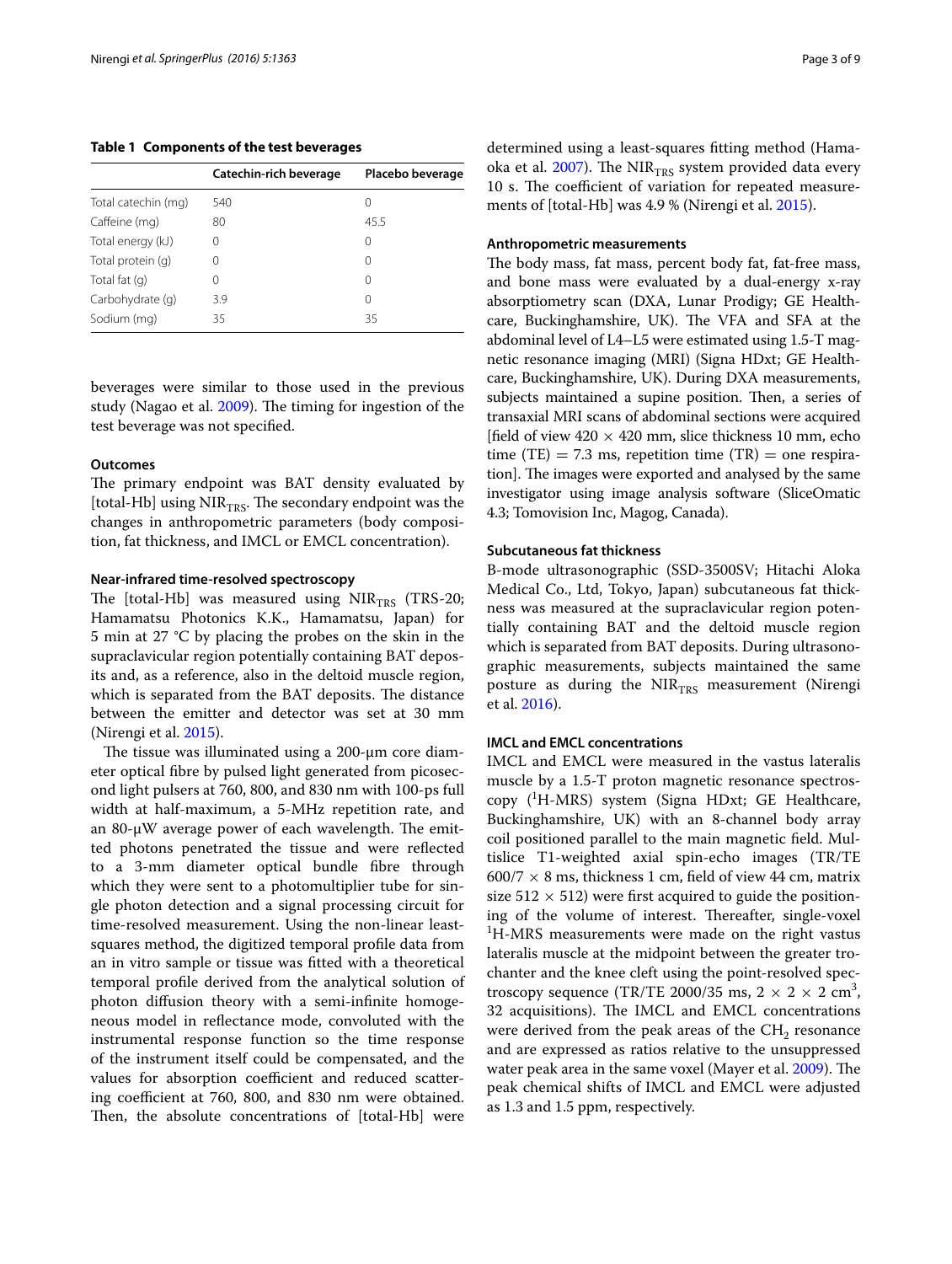<span id="page-2-0"></span>**Table 1 Components of the test beverages**

|                     | Catechin-rich beverage | Placebo beverage |  |
|---------------------|------------------------|------------------|--|
| Total catechin (mg) | 540                    | $\left( \right)$ |  |
| Caffeine (mg)       | 80                     | 45.5             |  |
| Total energy (kJ)   |                        | 0                |  |
| Total protein (q)   |                        | $\left( \right)$ |  |
| Total fat (q)       | Ω                      | $\left( \right)$ |  |
| Carbohydrate (q)    | 3.9                    | 0                |  |
| Sodium (mg)         | 35                     | 35               |  |

beverages were similar to those used in the previous study (Nagao et al. [2009\)](#page-8-7). The timing for ingestion of the test beverage was not specified.

#### **Outcomes**

The primary endpoint was BAT density evaluated by [total-Hb] using  $NIR<sub>TRS</sub>$ . The secondary endpoint was the changes in anthropometric parameters (body composition, fat thickness, and IMCL or EMCL concentration).

#### **Near‑infrared time‑resolved spectroscopy**

The [total-Hb] was measured using  $NIR<sub>TRS</sub>$  (TRS-20; Hamamatsu Photonics K.K., Hamamatsu, Japan) for 5 min at 27 °C by placing the probes on the skin in the supraclavicular region potentially containing BAT deposits and, as a reference, also in the deltoid muscle region, which is separated from the BAT deposits. The distance between the emitter and detector was set at 30 mm (Nirengi et al. [2015\)](#page-8-5).

The tissue was illuminated using a 200-μm core diameter optical fibre by pulsed light generated from picosecond light pulsers at 760, 800, and 830 nm with 100-ps full width at half-maximum, a 5-MHz repetition rate, and an 80-μW average power of each wavelength. The emitted photons penetrated the tissue and were reflected to a 3-mm diameter optical bundle fibre through which they were sent to a photomultiplier tube for single photon detection and a signal processing circuit for time-resolved measurement. Using the non-linear leastsquares method, the digitized temporal profile data from an in vitro sample or tissue was fitted with a theoretical temporal profile derived from the analytical solution of photon diffusion theory with a semi-infinite homogeneous model in reflectance mode, convoluted with the instrumental response function so the time response of the instrument itself could be compensated, and the values for absorption coefficient and reduced scattering coefficient at 760, 800, and 830 nm were obtained. Then, the absolute concentrations of [total-Hb] were determined using a least-squares fitting method (Hamaoka et al.  $2007$ ). The NIR<sub>TRS</sub> system provided data every 10 s. The coefficient of variation for repeated measurements of [total-Hb] was 4.9 % (Nirengi et al. [2015\)](#page-8-5).

#### **Anthropometric measurements**

The body mass, fat mass, percent body fat, fat-free mass, and bone mass were evaluated by a dual-energy x-ray absorptiometry scan (DXA, Lunar Prodigy; GE Healthcare, Buckinghamshire, UK). The VFA and SFA at the abdominal level of L4–L5 were estimated using 1.5-T magnetic resonance imaging (MRI) (Signa HDxt; GE Healthcare, Buckinghamshire, UK). During DXA measurements, subjects maintained a supine position. Then, a series of transaxial MRI scans of abdominal sections were acquired [field of view  $420 \times 420$  mm, slice thickness 10 mm, echo time (TE) = 7.3 ms, repetition time (TR) = one respiration]. The images were exported and analysed by the same investigator using image analysis software (SliceOmatic 4.3; Tomovision Inc, Magog, Canada).

## **Subcutaneous fat thickness**

B-mode ultrasonographic (SSD-3500SV; Hitachi Aloka Medical Co., Ltd, Tokyo, Japan) subcutaneous fat thickness was measured at the supraclavicular region potentially containing BAT and the deltoid muscle region which is separated from BAT deposits. During ultrasonographic measurements, subjects maintained the same posture as during the  $NIR_{TRS}$  measurement (Nirengi et al. [2016](#page-8-6)).

## **IMCL and EMCL concentrations**

IMCL and EMCL were measured in the vastus lateralis muscle by a 1.5-T proton magnetic resonance spectroscopy (<sup>1</sup> H-MRS) system (Signa HDxt; GE Healthcare, Buckinghamshire, UK) with an 8-channel body array coil positioned parallel to the main magnetic field. Multislice T1-weighted axial spin-echo images (TR/TE  $600/7 \times 8$  ms, thickness 1 cm, field of view 44 cm, matrix size  $512 \times 512$ ) were first acquired to guide the positioning of the volume of interest. Thereafter, single-voxel <sup>1</sup>H-MRS measurements were made on the right vastus lateralis muscle at the midpoint between the greater trochanter and the knee cleft using the point-resolved spectroscopy sequence (TR/TE 2000/35 ms,  $2 \times 2 \times 2$  cm<sup>3</sup>, 32 acquisitions). The IMCL and EMCL concentrations were derived from the peak areas of the  $CH<sub>2</sub>$  resonance and are expressed as ratios relative to the unsuppressed water peak area in the same voxel (Mayer et al. [2009\)](#page-8-10). The peak chemical shifts of IMCL and EMCL were adjusted as 1.3 and 1.5 ppm, respectively.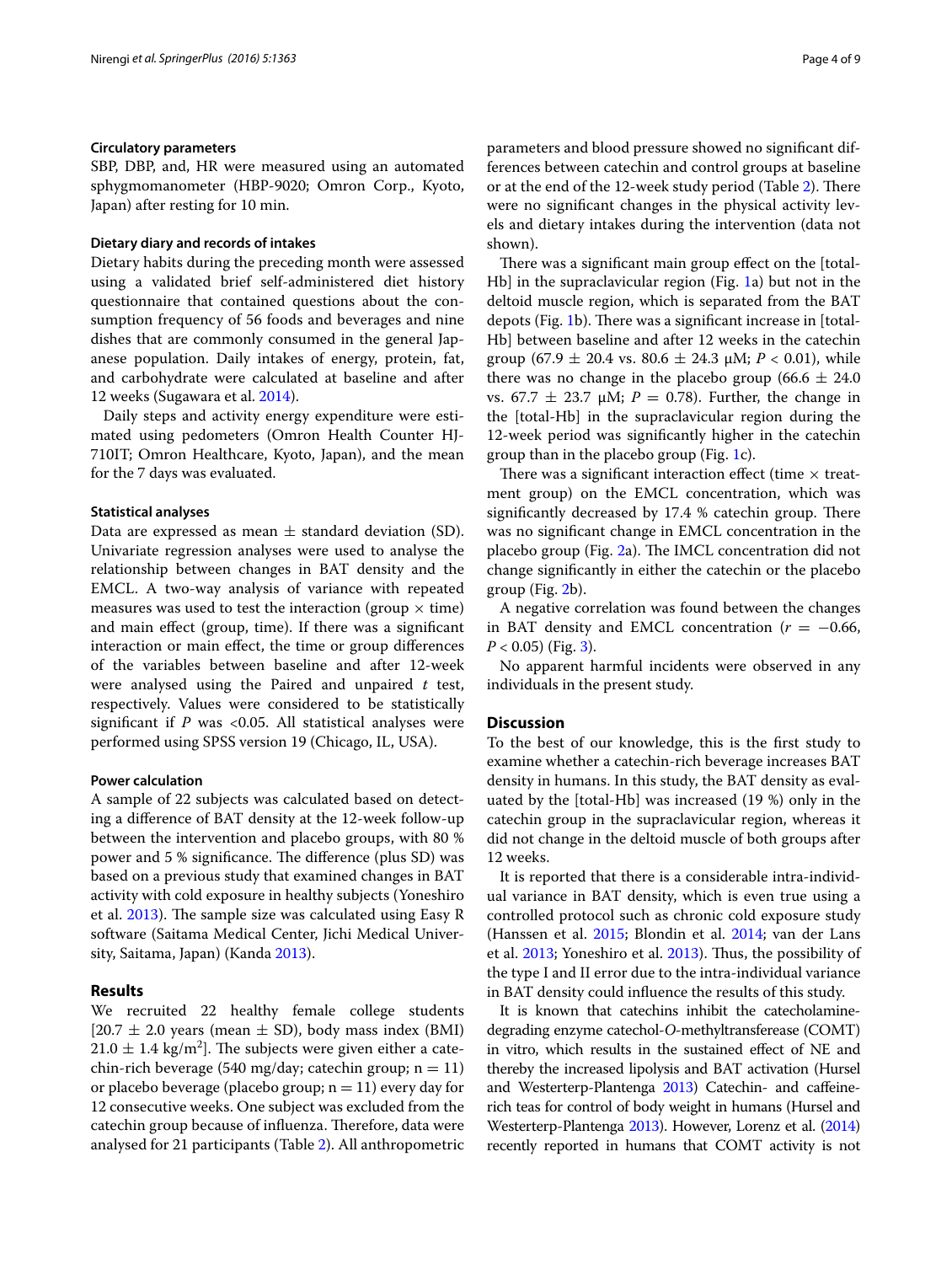# **Circulatory parameters**

SBP, DBP, and, HR were measured using an automated sphygmomanometer (HBP-9020; Omron Corp., Kyoto, Japan) after resting for 10 min.

#### **Dietary diary and records of intakes**

Dietary habits during the preceding month were assessed using a validated brief self-administered diet history questionnaire that contained questions about the consumption frequency of 56 foods and beverages and nine dishes that are commonly consumed in the general Japanese population. Daily intakes of energy, protein, fat, and carbohydrate were calculated at baseline and after 12 weeks (Sugawara et al. [2014\)](#page-8-11).

Daily steps and activity energy expenditure were estimated using pedometers (Omron Health Counter HJ-710IT; Omron Healthcare, Kyoto, Japan), and the mean for the 7 days was evaluated.

#### **Statistical analyses**

Data are expressed as mean  $\pm$  standard deviation (SD). Univariate regression analyses were used to analyse the relationship between changes in BAT density and the EMCL. A two-way analysis of variance with repeated measures was used to test the interaction (group  $\times$  time) and main effect (group, time). If there was a significant interaction or main effect, the time or group differences of the variables between baseline and after 12-week were analysed using the Paired and unpaired *t* test, respectively. Values were considered to be statistically significant if  $P$  was <0.05. All statistical analyses were performed using SPSS version 19 (Chicago, IL, USA).

## **Power calculation**

A sample of 22 subjects was calculated based on detecting a difference of BAT density at the 12-week follow-up between the intervention and placebo groups, with 80 % power and 5 % significance. The difference (plus SD) was based on a previous study that examined changes in BAT activity with cold exposure in healthy subjects (Yoneshiro et al. [2013](#page-8-3)). The sample size was calculated using Easy R software (Saitama Medical Center, Jichi Medical University, Saitama, Japan) (Kanda [2013\)](#page-7-13).

## **Results**

We recruited 22 healthy female college students  $[20.7 \pm 2.0 \text{ years}$  (mean  $\pm$  SD), body mass index (BMI)  $21.0 \pm 1.4$  kg/m<sup>2</sup>]. The subjects were given either a catechin-rich beverage (540 mg/day; catechin group;  $n = 11$ ) or placebo beverage (placebo group;  $n = 11$ ) every day for 12 consecutive weeks. One subject was excluded from the catechin group because of influenza. Therefore, data were analysed for 21 participants (Table [2\)](#page-4-0). All anthropometric parameters and blood pressure showed no significant differences between catechin and control groups at baseline or at the end of the 12-week study period (Table [2](#page-4-0)). There were no significant changes in the physical activity levels and dietary intakes during the intervention (data not shown).

There was a significant main group effect on the [total-Hb] in the supraclavicular region (Fig. [1](#page-4-1)a) but not in the deltoid muscle region, which is separated from the BAT depots (Fig. [1b](#page-4-1)). There was a significant increase in [total-Hb] between baseline and after 12 weeks in the catechin group (67.9  $\pm$  20.4 vs. 80.6  $\pm$  24.3  $\mu$ M; *P* < 0.01), while there was no change in the placebo group (66.6  $\pm$  24.0 vs.  $67.7 \pm 23.7$  μM;  $P = 0.78$ ). Further, the change in the [total-Hb] in the supraclavicular region during the 12-week period was significantly higher in the catechin group than in the placebo group (Fig. [1](#page-4-1)c).

There was a significant interaction effect (time  $\times$  treatment group) on the EMCL concentration, which was significantly decreased by 17.4 % catechin group. There was no significant change in EMCL concentration in the placebo group (Fig. [2](#page-5-0)a). The IMCL concentration did not change significantly in either the catechin or the placebo group (Fig. [2b](#page-5-0)).

A negative correlation was found between the changes in BAT density and EMCL concentration  $(r = -0.66,$  $P < 0.05$ ) (Fig. [3\)](#page-5-1).

No apparent harmful incidents were observed in any individuals in the present study.

#### **Discussion**

To the best of our knowledge, this is the first study to examine whether a catechin-rich beverage increases BAT density in humans. In this study, the BAT density as evaluated by the [total-Hb] was increased (19 %) only in the catechin group in the supraclavicular region, whereas it did not change in the deltoid muscle of both groups after 12 weeks.

It is reported that there is a considerable intra-individual variance in BAT density, which is even true using a controlled protocol such as chronic cold exposure study (Hanssen et al. [2015;](#page-7-3) Blondin et al. [2014](#page-7-14); van der Lans et al. [2013;](#page-8-12) Yoneshiro et al. [2013](#page-8-3)). Thus, the possibility of the type I and II error due to the intra-individual variance in BAT density could influence the results of this study.

It is known that catechins inhibit the catecholaminedegrading enzyme catechol-*O*-methyltransferease (COMT) in vitro, which results in the sustained effect of NE and thereby the increased lipolysis and BAT activation (Hursel and Westerterp-Plantenga [2013\)](#page-7-9) Catechin- and caffeinerich teas for control of body weight in humans (Hursel and Westerterp-Plantenga [2013\)](#page-7-9). However, Lorenz et al. [\(2014](#page-8-13)) recently reported in humans that COMT activity is not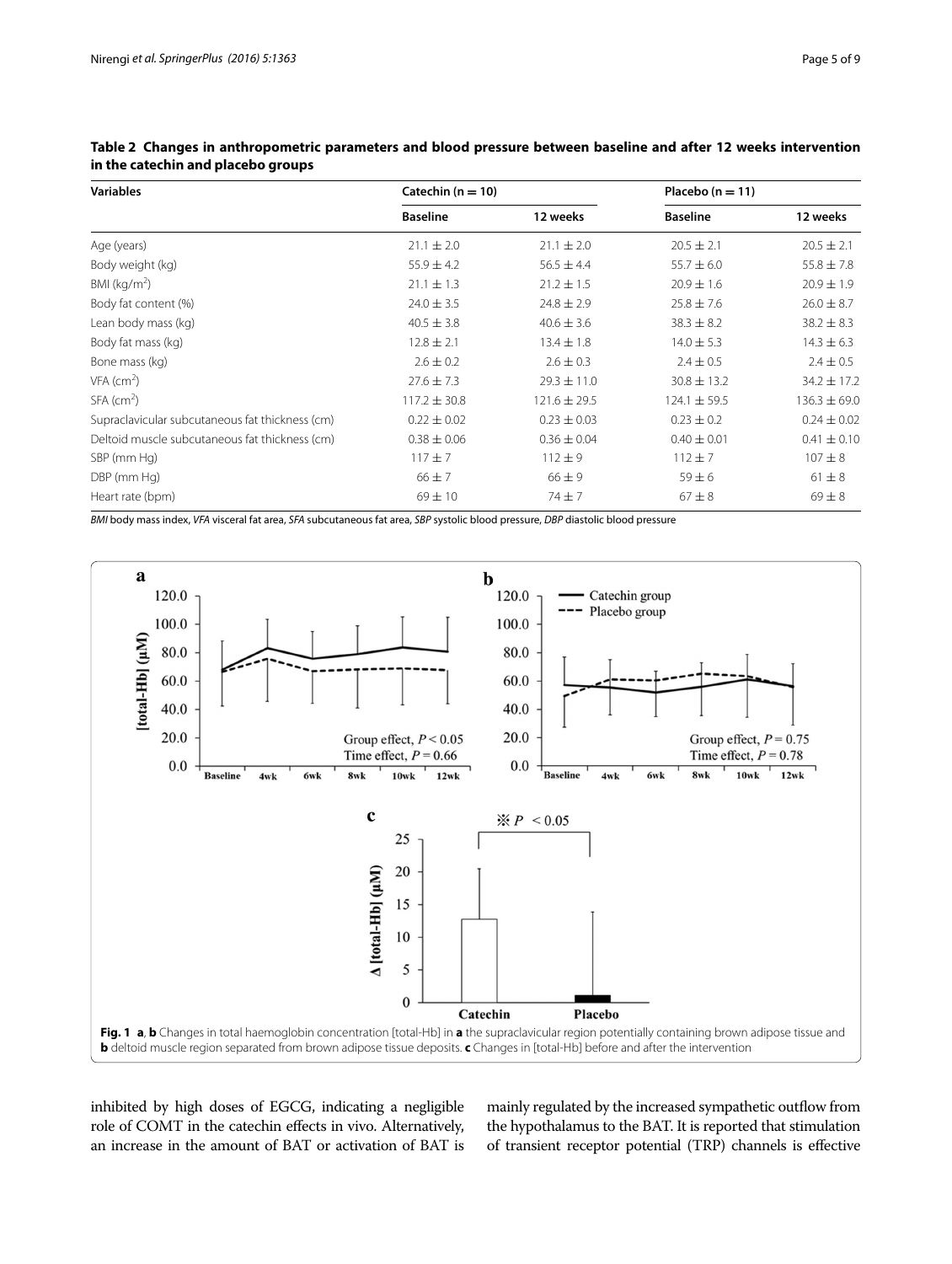| <b>Variables</b>                                | Catechin ( $n = 10$ ) |                  | Placebo $(n = 11)$ |                  |
|-------------------------------------------------|-----------------------|------------------|--------------------|------------------|
|                                                 | <b>Baseline</b>       | 12 weeks         | <b>Baseline</b>    | 12 weeks         |
| Age (years)                                     | $21.1 \pm 2.0$        | $21.1 \pm 2.0$   | $20.5 \pm 2.1$     | $20.5 \pm 2.1$   |
| Body weight (kg)                                | $55.9 \pm 4.2$        | $56.5 \pm 4.4$   | $55.7 \pm 6.0$     | $55.8 \pm 7.8$   |
| BMI ( $kg/m2$ )                                 | $21.1 \pm 1.3$        | $21.2 \pm 1.5$   | $20.9 \pm 1.6$     | $20.9 \pm 1.9$   |
| Body fat content (%)                            | $24.0 \pm 3.5$        | $24.8 \pm 2.9$   | $25.8 \pm 7.6$     | $26.0 \pm 8.7$   |
| Lean body mass (kg)                             | $40.5 \pm 3.8$        | $40.6 \pm 3.6$   | $38.3 \pm 8.2$     | $38.2 \pm 8.3$   |
| Body fat mass (kg)                              | $12.8 \pm 2.1$        | $13.4 \pm 1.8$   | $14.0 \pm 5.3$     | $14.3 \pm 6.3$   |
| Bone mass (kg)                                  | $2.6 \pm 0.2$         | $2.6 \pm 0.3$    | $2.4 \pm 0.5$      | $2.4 \pm 0.5$    |
| $VFA$ (cm <sup>2</sup> )                        | $27.6 \pm 7.3$        | $29.3 \pm 11.0$  | $30.8 \pm 13.2$    | $34.2 \pm 17.2$  |
| $SFA$ (cm <sup>2</sup> )                        | $117.2 \pm 30.8$      | $121.6 \pm 29.5$ | $124.1 \pm 59.5$   | $136.3 \pm 69.0$ |
| Supraclavicular subcutaneous fat thickness (cm) | $0.22 \pm 0.02$       | $0.23 \pm 0.03$  | $0.23 \pm 0.2$     | $0.24 \pm 0.02$  |
| Deltoid muscle subcutaneous fat thickness (cm)  | $0.38 \pm 0.06$       | $0.36 \pm 0.04$  | $0.40 \pm 0.01$    | $0.41 \pm 0.10$  |
| SBP (mm Hg)                                     | $117 + 7$             | $112 + 9$        | $112 + 7$          | $107 + 8$        |
| DBP (mm Hg)                                     | $66 \pm 7$            | $66 \pm 9$       | $59 \pm 6$         | $61 \pm 8$       |
| Heart rate (bpm)                                | $69 \pm 10$           | $74 + 7$         | $67 \pm 8$         | $69 \pm 8$       |

<span id="page-4-0"></span>**Table 2 Changes in anthropometric parameters and blood pressure between baseline and after 12 weeks intervention in the catechin and placebo groups**

*BMI* body mass index, *VFA* visceral fat area, *SFA* subcutaneous fat area, *SBP* systolic blood pressure, *DBP* diastolic blood pressure



<span id="page-4-1"></span>inhibited by high doses of EGCG, indicating a negligible role of COMT in the catechin effects in vivo. Alternatively, an increase in the amount of BAT or activation of BAT is mainly regulated by the increased sympathetic outflow from the hypothalamus to the BAT. It is reported that stimulation of transient receptor potential (TRP) channels is effective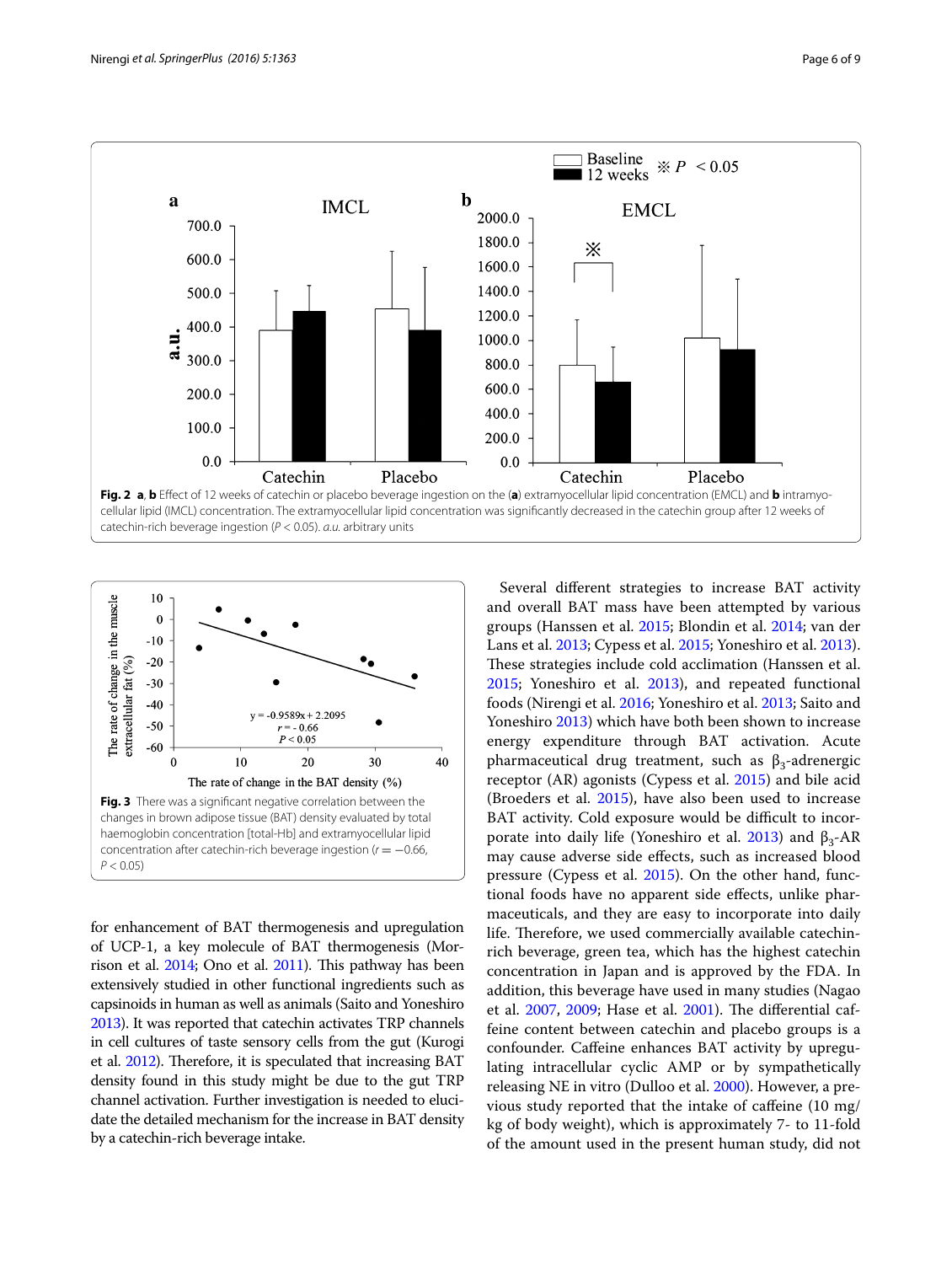

<span id="page-5-0"></span>

<span id="page-5-1"></span>for enhancement of BAT thermogenesis and upregulation of UCP-1, a key molecule of BAT thermogenesis (Morrison et al. [2014;](#page-8-14) Ono et al. [2011](#page-8-15)). This pathway has been extensively studied in other functional ingredients such as capsinoids in human as well as animals (Saito and Yoneshiro [2013\)](#page-8-16). It was reported that catechin activates TRP channels in cell cultures of taste sensory cells from the gut (Kurogi et al. [2012\)](#page-7-15). Therefore, it is speculated that increasing BAT density found in this study might be due to the gut TRP channel activation. Further investigation is needed to elucidate the detailed mechanism for the increase in BAT density by a catechin-rich beverage intake.

Several different strategies to increase BAT activity and overall BAT mass have been attempted by various groups (Hanssen et al. [2015](#page-7-3); Blondin et al. [2014](#page-7-14); van der Lans et al. [2013;](#page-8-12) Cypess et al. [2015](#page-7-16); Yoneshiro et al. [2013](#page-8-3)). These strategies include cold acclimation (Hanssen et al. [2015](#page-7-3); Yoneshiro et al. [2013](#page-8-3)), and repeated functional foods (Nirengi et al. [2016](#page-8-6); Yoneshiro et al. [2013](#page-8-3); Saito and Yoneshiro [2013\)](#page-8-16) which have both been shown to increase energy expenditure through BAT activation. Acute pharmaceutical drug treatment, such as  $β_3$ -adrenergic receptor (AR) agonists (Cypess et al. [2015](#page-7-16)) and bile acid (Broeders et al. [2015](#page-7-17)), have also been used to increase BAT activity. Cold exposure would be difficult to incor-porate into daily life (Yoneshiro et al. [2013](#page-8-3)) and  $β_3$ -AR may cause adverse side effects, such as increased blood pressure (Cypess et al. [2015](#page-7-16)). On the other hand, functional foods have no apparent side effects, unlike pharmaceuticals, and they are easy to incorporate into daily life. Therefore, we used commercially available catechinrich beverage, green tea, which has the highest catechin concentration in Japan and is approved by the FDA. In addition, this beverage have used in many studies (Nagao et al. [2007](#page-8-17), [2009;](#page-8-7) Hase et al. [2001](#page-7-18)). The differential caffeine content between catechin and placebo groups is a confounder. Caffeine enhances BAT activity by upregulating intracellular cyclic AMP or by sympathetically releasing NE in vitro (Dulloo et al. [2000](#page-7-7)). However, a previous study reported that the intake of caffeine (10 mg/ kg of body weight), which is approximately 7- to 11-fold of the amount used in the present human study, did not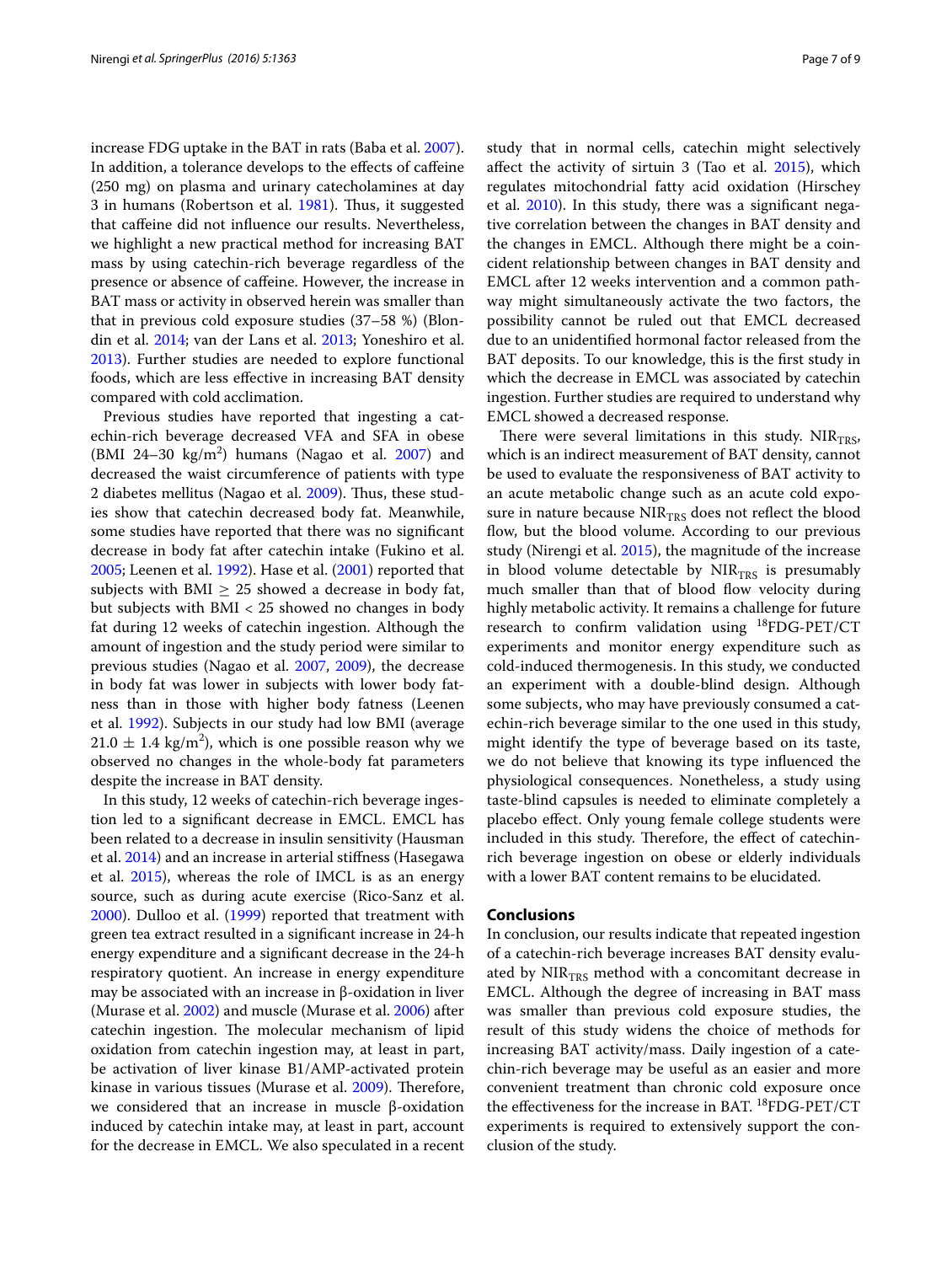increase FDG uptake in the BAT in rats (Baba et al. [2007](#page-7-19)). In addition, a tolerance develops to the effects of caffeine (250 mg) on plasma and urinary catecholamines at day 3 in humans (Robertson et al. [1981](#page-8-18)). Thus, it suggested that caffeine did not influence our results. Nevertheless, we highlight a new practical method for increasing BAT mass by using catechin-rich beverage regardless of the presence or absence of caffeine. However, the increase in BAT mass or activity in observed herein was smaller than that in previous cold exposure studies (37–58 %) (Blondin et al. [2014](#page-7-14); van der Lans et al. [2013](#page-8-12); Yoneshiro et al. [2013](#page-8-3)). Further studies are needed to explore functional foods, which are less effective in increasing BAT density compared with cold acclimation.

Previous studies have reported that ingesting a catechin-rich beverage decreased VFA and SFA in obese  $(BMI 24-30 kg/m<sup>2</sup>)$  humans (Nagao et al. [2007\)](#page-8-17) and decreased the waist circumference of patients with type 2 diabetes mellitus (Nagao et al. [2009](#page-8-7)). Thus, these studies show that catechin decreased body fat. Meanwhile, some studies have reported that there was no significant decrease in body fat after catechin intake (Fukino et al. [2005](#page-7-20); Leenen et al. [1992](#page-8-19)). Hase et al. ([2001\)](#page-7-18) reported that subjects with BMI  $\geq$  25 showed a decrease in body fat, but subjects with BMI < 25 showed no changes in body fat during 12 weeks of catechin ingestion. Although the amount of ingestion and the study period were similar to previous studies (Nagao et al. [2007](#page-8-17), [2009\)](#page-8-7), the decrease in body fat was lower in subjects with lower body fatness than in those with higher body fatness (Leenen et al. [1992\)](#page-8-19). Subjects in our study had low BMI (average  $21.0 \pm 1.4$  kg/m<sup>2</sup>), which is one possible reason why we observed no changes in the whole-body fat parameters despite the increase in BAT density.

In this study, 12 weeks of catechin-rich beverage ingestion led to a significant decrease in EMCL. EMCL has been related to a decrease in insulin sensitivity (Hausman et al. [2014\)](#page-7-21) and an increase in arterial stiffness (Hasegawa et al. [2015](#page-7-22)), whereas the role of IMCL is as an energy source, such as during acute exercise (Rico-Sanz et al. [2000](#page-8-20)). Dulloo et al. ([1999](#page-7-23)) reported that treatment with green tea extract resulted in a significant increase in 24-h energy expenditure and a significant decrease in the 24-h respiratory quotient. An increase in energy expenditure may be associated with an increase in β-oxidation in liver (Murase et al. [2002](#page-8-21)) and muscle (Murase et al. [2006](#page-8-22)) after catechin ingestion. The molecular mechanism of lipid oxidation from catechin ingestion may, at least in part, be activation of liver kinase B1/AMP-activated protein kinase in various tissues (Murase et al. [2009](#page-8-23)). Therefore, we considered that an increase in muscle β-oxidation induced by catechin intake may, at least in part, account for the decrease in EMCL. We also speculated in a recent study that in normal cells, catechin might selectively affect the activity of sirtuin 3 (Tao et al. [2015](#page-8-24)), which regulates mitochondrial fatty acid oxidation (Hirschey et al. [2010\)](#page-7-24). In this study, there was a significant negative correlation between the changes in BAT density and the changes in EMCL. Although there might be a coincident relationship between changes in BAT density and EMCL after 12 weeks intervention and a common pathway might simultaneously activate the two factors, the possibility cannot be ruled out that EMCL decreased due to an unidentified hormonal factor released from the BAT deposits. To our knowledge, this is the first study in which the decrease in EMCL was associated by catechin ingestion. Further studies are required to understand why EMCL showed a decreased response.

There were several limitations in this study.  $NIR<sub>TRS</sub>$ , which is an indirect measurement of BAT density, cannot be used to evaluate the responsiveness of BAT activity to an acute metabolic change such as an acute cold exposure in nature because  $NIR<sub>TRS</sub>$  does not reflect the blood flow, but the blood volume. According to our previous study (Nirengi et al. [2015](#page-8-5)), the magnitude of the increase in blood volume detectable by  $NIR<sub>TRS</sub>$  is presumably much smaller than that of blood flow velocity during highly metabolic activity. It remains a challenge for future research to confirm validation using 18FDG-PET/CT experiments and monitor energy expenditure such as cold-induced thermogenesis. In this study, we conducted an experiment with a double-blind design. Although some subjects, who may have previously consumed a catechin-rich beverage similar to the one used in this study, might identify the type of beverage based on its taste, we do not believe that knowing its type influenced the physiological consequences. Nonetheless, a study using taste-blind capsules is needed to eliminate completely a placebo effect. Only young female college students were included in this study. Therefore, the effect of catechinrich beverage ingestion on obese or elderly individuals with a lower BAT content remains to be elucidated.

#### **Conclusions**

In conclusion, our results indicate that repeated ingestion of a catechin-rich beverage increases BAT density evaluated by  $NIR<sub>TRS</sub>$  method with a concomitant decrease in EMCL. Although the degree of increasing in BAT mass was smaller than previous cold exposure studies, the result of this study widens the choice of methods for increasing BAT activity/mass. Daily ingestion of a catechin-rich beverage may be useful as an easier and more convenient treatment than chronic cold exposure once the effectiveness for the increase in BAT. <sup>18</sup>FDG-PET/CT experiments is required to extensively support the conclusion of the study.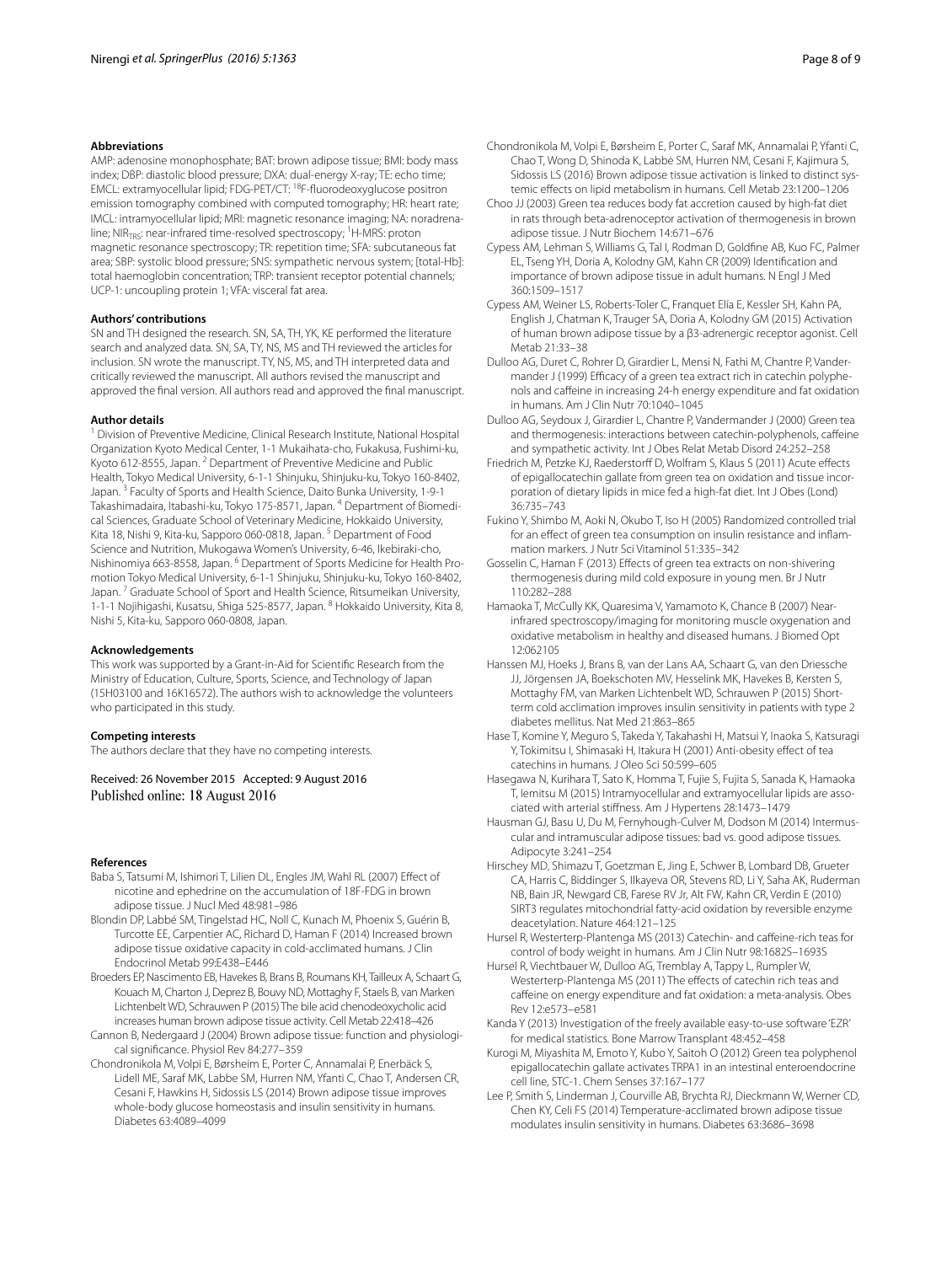#### **Abbreviations**

AMP: adenosine monophosphate; BAT: brown adipose tissue; BMI: body mass index; DBP: diastolic blood pressure; DXA: dual-energy X-ray; TE: echo time; EMCL: extramyocellular lipid; FDG-PET/CT: 18F-fluorodeoxyglucose positron emission tomography combined with computed tomography; HR: heart rate; IMCL: intramyocellular lipid; MRI: magnetic resonance imaging; NA: noradrenaline; NIR<sub>TRS</sub>: near-infrared time-resolved spectroscopy; <sup>1</sup>H-MRS: proton magnetic resonance spectroscopy; TR: repetition time; SFA: subcutaneous fat area; SBP: systolic blood pressure; SNS: sympathetic nervous system; [total-Hb]: total haemoglobin concentration; TRP: transient receptor potential channels; UCP-1: uncoupling protein 1; VFA: visceral fat area.

#### **Authors' contributions**

SN and TH designed the research. SN, SA, TH, YK, KE performed the literature search and analyzed data. SN, SA, TY, NS, MS and TH reviewed the articles for inclusion. SN wrote the manuscript. TY, NS, MS, and TH interpreted data and critically reviewed the manuscript. All authors revised the manuscript and approved the final version. All authors read and approved the final manuscript.

#### **Author details**

<sup>1</sup> Division of Preventive Medicine, Clinical Research Institute, National Hospital Organization Kyoto Medical Center, 1-1 Mukaihata-cho, Fukakusa, Fushimi-ku, Kyoto 612-8555, Japan.<sup>2</sup> Department of Preventive Medicine and Public Health, Tokyo Medical University, 6-1-1 Shinjuku, Shinjuku-ku, Tokyo 160-8402, Japan. 3 Faculty of Sports and Health Science, Daito Bunka University, 1-9-1 Takashimadaira, Itabashi-ku, Tokyo 175-8571, Japan. <sup>4</sup> Department of Biomedical Sciences, Graduate School of Veterinary Medicine, Hokkaido University, Kita 18, Nishi 9, Kita-ku, Sapporo 060-0818, Japan.<sup>5</sup> Department of Food Science and Nutrition, Mukogawa Women's University, 6-46, Ikebiraki-cho, Nishinomiya 663-8558, Japan. 6 Department of Sports Medicine for Health Promotion Tokyo Medical University, 6-1-1 Shinjuku, Shinjuku-ku, Tokyo 160-8402, Japan. 7 Graduate School of Sport and Health Science, Ritsumeikan University, 1-1-1 Nojihigashi, Kusatsu, Shiga 525-8577, Japan. <sup>8</sup> Hokkaido University, Kita 8, Nishi 5, Kita-ku, Sapporo 060-0808, Japan.

#### **Acknowledgements**

This work was supported by a Grant-in-Aid for Scientific Research from the Ministry of Education, Culture, Sports, Science, and Technology of Japan (15H03100 and 16K16572). The authors wish to acknowledge the volunteers who participated in this study.

#### **Competing interests**

The authors declare that they have no competing interests.

Received: 26 November 2015 Accepted: 9 August 2016 Published online: 18 August 2016

#### **References**

- <span id="page-7-19"></span>Baba S, Tatsumi M, Ishimori T, Lilien DL, Engles JM, Wahl RL (2007) Effect of nicotine and ephedrine on the accumulation of 18F-FDG in brown adipose tissue. J Nucl Med 48:981–986
- <span id="page-7-14"></span>Blondin DP, Labbé SM, Tingelstad HC, Noll C, Kunach M, Phoenix S, Guérin B, Turcotte EE, Carpentier AC, Richard D, Haman F (2014) Increased brown adipose tissue oxidative capacity in cold-acclimated humans. J Clin Endocrinol Metab 99:E438–E446
- <span id="page-7-17"></span>Broeders EP, Nascimento EB, Havekes B, Brans B, Roumans KH, Tailleux A, Schaart G, Kouach M, Charton J, Deprez B, Bouvy ND, Mottaghy F, Staels B, van Marken Lichtenbelt WD, Schrauwen P (2015) The bile acid chenodeoxycholic acid increases human brown adipose tissue activity. Cell Metab 22:418–426
- <span id="page-7-0"></span>Cannon B, Nedergaard J (2004) Brown adipose tissue: function and physiological significance. Physiol Rev 84:277–359
- <span id="page-7-2"></span>Chondronikola M, Volpi E, Børsheim E, Porter C, Annamalai P, Enerbäck S, Lidell ME, Saraf MK, Labbe SM, Hurren NM, Yfanti C, Chao T, Andersen CR, Cesani F, Hawkins H, Sidossis LS (2014) Brown adipose tissue improves whole-body glucose homeostasis and insulin sensitivity in humans. Diabetes 63:4089–4099
- <span id="page-7-5"></span>Chondronikola M, Volpi E, Børsheim E, Porter C, Saraf MK, Annamalai P, Yfanti C, Chao T, Wong D, Shinoda K, Labbė SM, Hurren NM, Cesani F, Kajimura S, Sidossis LS (2016) Brown adipose tissue activation is linked to distinct systemic effects on lipid metabolism in humans. Cell Metab 23:1200–1206
- <span id="page-7-12"></span>Choo JJ (2003) Green tea reduces body fat accretion caused by high-fat diet in rats through beta-adrenoceptor activation of thermogenesis in brown adipose tissue. J Nutr Biochem 14:671–676
- <span id="page-7-1"></span>Cypess AM, Lehman S, Williams G, Tal I, Rodman D, Goldfine AB, Kuo FC, Palmer EL, Tseng YH, Doria A, Kolodny GM, Kahn CR (2009) Identification and importance of brown adipose tissue in adult humans. N Engl J Med 360:1509–1517
- <span id="page-7-16"></span>Cypess AM, Weiner LS, Roberts-Toler C, Franquet Elía E, Kessler SH, Kahn PA, English J, Chatman K, Trauger SA, Doria A, Kolodny GM (2015) Activation of human brown adipose tissue by a β3-adrenergic receptor agonist. Cell Metab 21:33–38
- <span id="page-7-23"></span>Dulloo AG, Duret C, Rohrer D, Girardier L, Mensi N, Fathi M, Chantre P, Vandermander J (1999) Efficacy of a green tea extract rich in catechin polyphenols and caffeine in increasing 24-h energy expenditure and fat oxidation in humans. Am J Clin Nutr 70:1040–1045
- <span id="page-7-7"></span>Dulloo AG, Seydoux J, Girardier L, Chantre P, Vandermander J (2000) Green tea and thermogenesis: interactions between catechin-polyphenols, caffeine and sympathetic activity. Int J Obes Relat Metab Disord 24:252–258
- <span id="page-7-10"></span>Friedrich M, Petzke KJ, Raederstorff D, Wolfram S, Klaus S (2011) Acute effects of epigallocatechin gallate from green tea on oxidation and tissue incorporation of dietary lipids in mice fed a high-fat diet. Int J Obes (Lond) 36:735–743
- <span id="page-7-20"></span>Fukino Y, Shimbo M, Aoki N, Okubo T, Iso H (2005) Randomized controlled trial for an effect of green tea consumption on insulin resistance and inflammation markers. J Nutr Sci Vitaminol 51:335–342
- <span id="page-7-8"></span>Gosselin C, Haman F (2013) Effects of green tea extracts on non-shivering thermogenesis during mild cold exposure in young men. Br J Nutr 110:282–288
- <span id="page-7-6"></span>Hamaoka T, McCully KK, Quaresima V, Yamamoto K, Chance B (2007) Nearinfrared spectroscopy/imaging for monitoring muscle oxygenation and oxidative metabolism in healthy and diseased humans. J Biomed Opt 12:062105
- <span id="page-7-3"></span>Hanssen MJ, Hoeks J, Brans B, van der Lans AA, Schaart G, van den Driessche JJ, Jörgensen JA, Boekschoten MV, Hesselink MK, Havekes B, Kersten S, Mottaghy FM, van Marken Lichtenbelt WD, Schrauwen P (2015) Shortterm cold acclimation improves insulin sensitivity in patients with type 2 diabetes mellitus. Nat Med 21:863–865
- <span id="page-7-18"></span>Hase T, Komine Y, Meguro S, Takeda Y, Takahashi H, Matsui Y, Inaoka S, Katsuragi Y, Tokimitsu I, Shimasaki H, Itakura H (2001) Anti-obesity effect of tea catechins in humans. J Oleo Sci 50:599–605
- <span id="page-7-22"></span>Hasegawa N, Kurihara T, Sato K, Homma T, Fujie S, Fujita S, Sanada K, Hamaoka T, Iemitsu M (2015) Intramyocellular and extramyocellular lipids are associated with arterial stiffness. Am J Hypertens 28:1473–1479
- <span id="page-7-21"></span>Hausman GJ, Basu U, Du M, Fernyhough-Culver M, Dodson M (2014) Intermuscular and intramuscular adipose tissues: bad vs. good adipose tissues. Adipocyte 3:241–254
- <span id="page-7-24"></span>Hirschey MD, Shimazu T, Goetzman E, Jing E, Schwer B, Lombard DB, Grueter CA, Harris C, Biddinger S, Ilkayeva OR, Stevens RD, Li Y, Saha AK, Ruderman NB, Bain JR, Newgard CB, Farese RV Jr, Alt FW, Kahn CR, Verdin E (2010) SIRT3 regulates mitochondrial fatty-acid oxidation by reversible enzyme deacetylation. Nature 464:121–125
- <span id="page-7-9"></span>Hursel R, Westerterp-Plantenga MS (2013) Catechin- and caffeine-rich teas for control of body weight in humans. Am J Clin Nutr 98:1682S–1693S
- <span id="page-7-11"></span>Hursel R, Viechtbauer W, Dulloo AG, Tremblay A, Tappy L, Rumpler W, Westerterp-Plantenga MS (2011) The effects of catechin rich teas and caffeine on energy expenditure and fat oxidation: a meta-analysis. Obes Rev 12:e573–e581
- <span id="page-7-13"></span>Kanda Y (2013) Investigation of the freely available easy-to-use software 'EZR' for medical statistics. Bone Marrow Transplant 48:452–458
- <span id="page-7-15"></span>Kurogi M, Miyashita M, Emoto Y, Kubo Y, Saitoh O (2012) Green tea polyphenol epigallocatechin gallate activates TRPA1 in an intestinal enteroendocrine cell line, STC-1. Chem Senses 37:167–177
- <span id="page-7-4"></span>Lee P, Smith S, Linderman J, Courville AB, Brychta RJ, Dieckmann W, Werner CD, Chen KY, Celi FS (2014) Temperature-acclimated brown adipose tissue modulates insulin sensitivity in humans. Diabetes 63:3686–3698